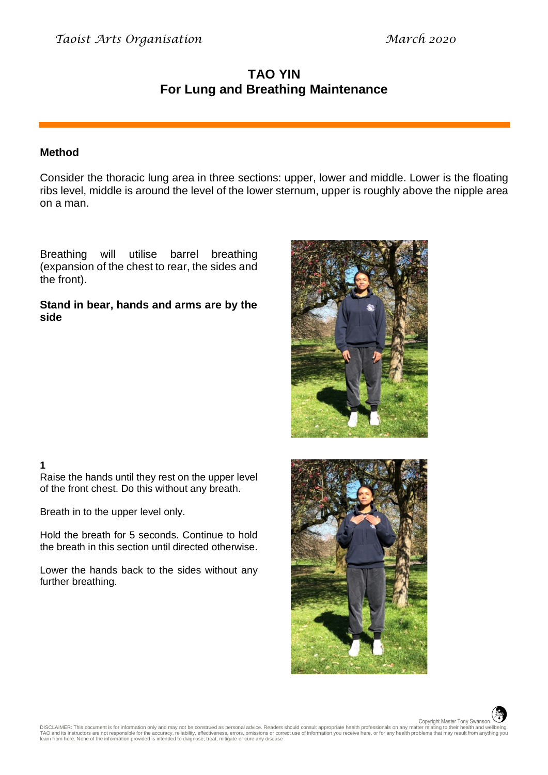# **TAO YIN For Lung and Breathing Maintenance**

### **Method**

Consider the thoracic lung area in three sections: upper, lower and middle. Lower is the floating ribs level, middle is around the level of the lower sternum, upper is roughly above the nipple area on a man.

Breathing will utilise barrel breathing (expansion of the chest to rear, the sides and the front).

#### **Stand in bear, hands and arms are by the side**



## **1**

Raise the hands until they rest on the upper level of the front chest. Do this without any breath.

Breath in to the upper level only.

Hold the breath for 5 seconds. Continue to hold the breath in this section until directed otherwise.

Lower the hands back to the sides without any further breathing.



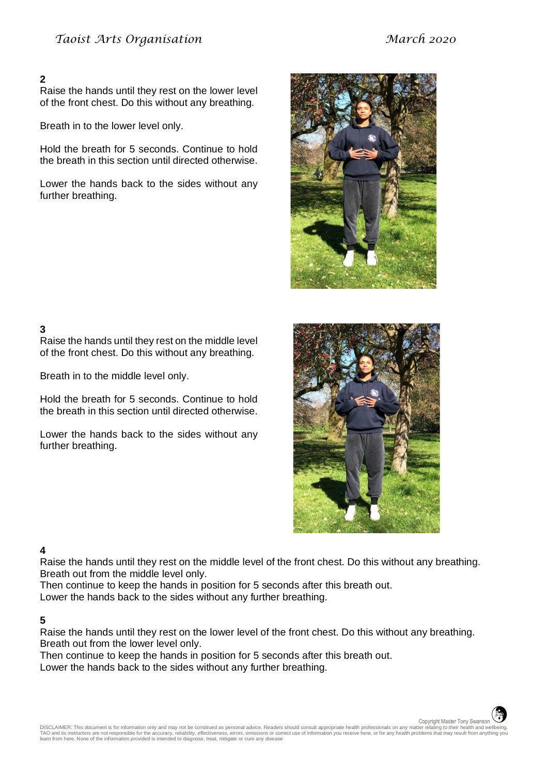### **2**

Raise the hands until they rest on the lower level of the front chest. Do this without any breathing.

Breath in to the lower level only.

Hold the breath for 5 seconds. Continue to hold the breath in this section until directed otherwise.

Lower the hands back to the sides without any further breathing.



## **3**

Raise the hands until they rest on the middle level of the front chest. Do this without any breathing.

Breath in to the middle level only.

Hold the breath for 5 seconds. Continue to hold the breath in this section until directed otherwise.

Lower the hands back to the sides without any further breathing.



#### **4**

Raise the hands until they rest on the middle level of the front chest. Do this without any breathing. Breath out from the middle level only.

Then continue to keep the hands in position for 5 seconds after this breath out.

Lower the hands back to the sides without any further breathing.

#### **5**

Raise the hands until they rest on the lower level of the front chest. Do this without any breathing. Breath out from the lower level only.

Then continue to keep the hands in position for 5 seconds after this breath out.

Lower the hands back to the sides without any further breathing.